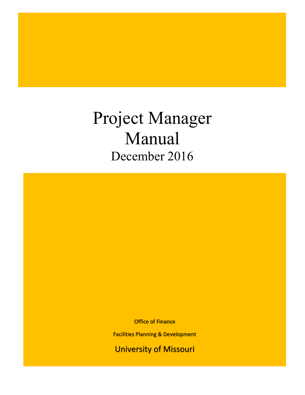Project Manager Manual December 2016

Office of Finance

Facilities Planning & Development

University of Missouri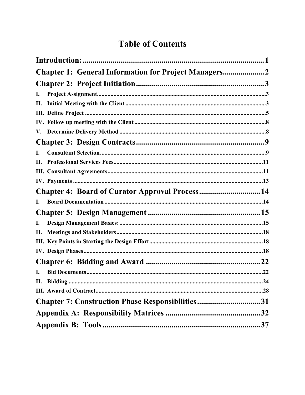# **Table of Contents**

| <b>Chapter 1: General Information for Project Managers</b> |    |
|------------------------------------------------------------|----|
|                                                            |    |
| I.                                                         |    |
| П.                                                         |    |
|                                                            |    |
|                                                            |    |
|                                                            |    |
|                                                            |    |
| I.                                                         |    |
| Н.                                                         |    |
|                                                            |    |
|                                                            |    |
| Chapter 4: Board of Curator Approval Process 14            |    |
| I.                                                         |    |
|                                                            |    |
| I.                                                         |    |
| П.                                                         |    |
|                                                            |    |
|                                                            |    |
|                                                            |    |
| I.                                                         |    |
|                                                            |    |
|                                                            |    |
| <b>Chapter 7: Construction Phase Responsibilities31</b>    |    |
|                                                            |    |
|                                                            | 37 |
|                                                            |    |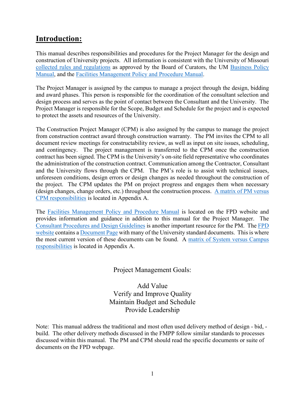## <span id="page-2-0"></span>**Introduction:**

This manual describes responsibilities and procedures for the Project Manager for the design and construction of University projects. All information is consistent with the University of Missouri [collected rules and regulations](https://www.umsystem.edu/ums/rules/collected_rules/business/ch70/70.060_consulting_design_and_construction) as approved by the Board of Curators, the UM [Business Policy](https://www.umsystem.edu/ums/rules/bpm/)  [Manual,](https://www.umsystem.edu/ums/rules/bpm/) and the [Facilities Management Policy and Procedure Manual.](https://www.umsystem.edu/ums/rules/fpm/)

The Project Manager is assigned by the campus to manage a project through the design, bidding and award phases. This person is responsible for the coordination of the consultant selection and design process and serves as the point of contact between the Consultant and the University. The Project Manager is responsible for the Scope, Budget and Schedule for the project and is expected to protect the assets and resources of the University.

The Construction Project Manager (CPM) is also assigned by the campus to manage the project from construction contract award through construction warranty. The PM invites the CPM to all document review meetings for constructability review, as well as input on site issues, scheduling, and contingency. The project management is transferred to the CPM once the construction contract has been signed. The CPM is the University's on-site field representative who coordinates the administration of the construction contract. Communication among the Contractor, Consultant and the University flows through the CPM. The PM's role is to assist with technical issues, unforeseen conditions, design errors or design changes as needed throughout the construction of the project. The CPM updates the PM on project progress and engages them when necessary (design changes, change orders, etc.) throughout the construction process. [A matrix of PM versus](https://uminfopoint.umsystem.edu/media/fa/management/facilities/docs/Responsibility%20Matrix%20PM%20vs%20CPM.pdf)  [CPM responsibilities](https://uminfopoint.umsystem.edu/media/fa/management/facilities/docs/Responsibility%20Matrix%20PM%20vs%20CPM.pdf) is located in Appendix A.

The [Facilities Management Policy and Procedure Manual](https://www.umsystem.edu/ums/rules/fpm) is located on the FPD website and provides information and guidance in addition to this manual for the Project Manager. The [Consultant Procedures and Design Guidelines](https://www.umsystem.edu/ums/fa/facilities/guidelines/) is another important resource for the PM. The [FPD](https://www.umsystem.edu/ums/fa/facilities/)  [website](https://www.umsystem.edu/ums/fa/facilities/) contains a [Document Page](https://www.umsystem.edu/ums/fa/facilities/fpd_forms_page) with many of the University standard documents. This is where the most current version of these documents can be found. A [matrix of System versus Campus](https://uminfopoint.umsystem.edu/media/fa/management/facilities/docs/Responsibility%20Matrix%20System%20vs%20Campus.pdf)  [responsibilities](https://uminfopoint.umsystem.edu/media/fa/management/facilities/docs/Responsibility%20Matrix%20System%20vs%20Campus.pdf) is located in Appendix A.

Project Management Goals:

Add Value Verify and Improve Quality Maintain Budget and Schedule Provide Leadership

Note: This manual address the traditional and most often used delivery method of design - bid, build. The other delivery methods discussed in the FMPP follow similar standards to processes discussed within this manual. The PM and CPM should read the specific documents or suite of documents on the FPD webpage.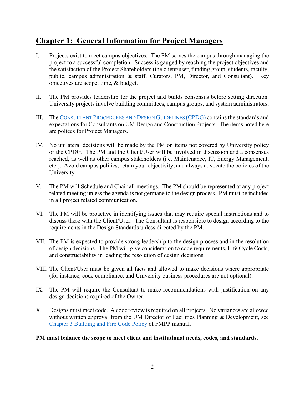## <span id="page-3-0"></span>**Chapter 1: General Information for Project Managers**

- I. Projects exist to meet campus objectives. The PM serves the campus through managing the project to a successful completion. Success is gauged by reaching the project objectives and the satisfaction of the Project Shareholders (the client/user, funding group, students, faculty, public, campus administration & staff, Curators, PM, Director, and Consultant). Key objectives are scope, time, & budget.
- II. The PM provides leadership for the project and builds consensus before setting direction. University projects involve building committees, campus groups, and system administrators.
- III. The [CONSULTANT PROCEDURES AND DESIGN GUIDELINES \(CPDG\)](https://www.umsystem.edu/ums/fa/facilities/guidelines/) contains the standards and expectations for Consultants on UM Design and Construction Projects. The items noted here are polices for Project Managers.
- IV. No unilateral decisions will be made by the PM on items not covered by University policy or the CPDG. The PM and the Client/User will be involved in discussion and a consensus reached, as well as other campus stakeholders (i.e. Maintenance, IT, Energy Management, etc.). Avoid campus politics, retain your objectivity, and always advocate the policies of the University.
- V. The PM will Schedule and Chair all meetings. The PM should be represented at any project related meeting unless the agenda is not germane to the design process. PM must be included in all project related communication.
- VI. The PM will be proactive in identifying issues that may require special instructions and to discuss these with the Client/User. The Consultant is responsible to design according to the requirements in the Design Standards unless directed by the PM.
- VII. The PM is expected to provide strong leadership to the design process and in the resolution of design decisions. The PM will give consideration to code requirements, Life Cycle Costs, and constructability in leading the resolution of design decisions.
- VIII. The Client/User must be given all facts and allowed to make decisions where appropriate (for instance, code compliance, and University business procedures are not optional).
- IX. The PM will require the Consultant to make recommendations with justification on any design decisions required of the Owner.
- X. Designs must meet code. A code review is required on all projects. No variances are allowed without written approval from the UM Director of Facilities Planning & Development, see [Chapter 3 Building and Fire Code Policy](https://www.umsystem.edu/ums/rules/fpm/3_Facilities_Master_Planning) of FMPP manual.

**PM must balance the scope to meet client and institutional needs, codes, and standards.**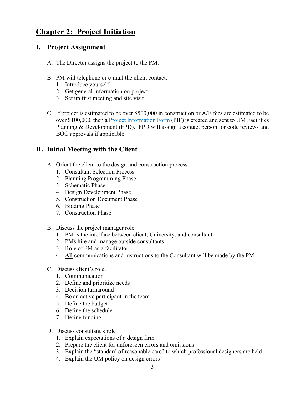## <span id="page-4-0"></span>**Chapter 2: Project Initiation**

#### <span id="page-4-1"></span>**I. Project Assignment**

- A. The Director assigns the project to the PM.
- B. PM will telephone or e-mail the client contact.
	- 1. Introduce yourself
	- 2. Get general information on project
	- 3. Set up first meeting and site visit
- C. If project is estimated to be over \$500,000 in construction or A/E fees are estimated to be over \$100,000, then a **Project Information Form** (PIF) is created and sent to UM Facilities Planning & Development (FPD). FPD will assign a contact person for code reviews and BOC approvals if applicable.

### <span id="page-4-2"></span>**II. Initial Meeting with the Client**

- A. Orient the client to the design and construction process.
	- 1. Consultant Selection Process
	- 2. Planning Programming Phase
	- 3. Schematic Phase
	- 4. Design Development Phase
	- 5. Construction Document Phase
	- 6. Bidding Phase
	- 7. Construction Phase
- B. Discuss the project manager role.
	- 1. PM is the interface between client, University, and consultant
	- 2. PMs hire and manage outside consultants
	- 3. Role of PM as a facilitator
	- 4. **All** communications and instructions to the Consultant will be made by the PM.
- C. Discuss client's role.
	- 1. Communication
	- 2. Define and prioritize needs
	- 3. Decision turnaround
	- 4. Be an active participant in the team
	- 5. Define the budget
	- 6. Define the schedule
	- 7. Define funding
- D. Discuss consultant's role
	- 1. Explain expectations of a design firm
	- 2. Prepare the client for unforeseen errors and omissions
	- 3. Explain the "standard of reasonable care" to which professional designers are held
	- 4. Explain the UM policy on design errors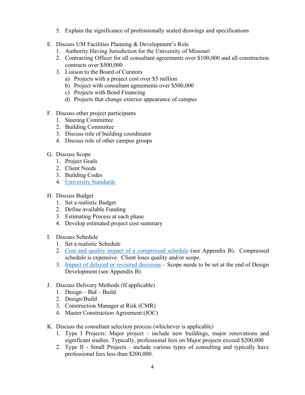- 5. Explain the significance of professionally sealed drawings and specifications
- E. Discuss UM Facilities Planning & Development's Role
	- 1. Authority Having Jurisdiction for the University of Missouri
	- 2. Contracting Officer for all consultant agreements over \$100,000 and all construction contracts over \$500,000
	- 3. Liaison to the Board of Curators
		- a) Projects with a project cost over \$5 million
		- b) Project with consultant agreements over \$500,000
		- c) Projects with Bond Financing
		- d) Projects that change exterior appearance of campus
- F. Discuss other project participants
	- 1. Steering Committee
	- 2. Building Committee
	- 3. Discuss role of building coordinator
	- 4. Discuss role of other campus groups
- G. Discuss Scope
	- 1. Project Goals
	- 2. Client Needs
	- 3. Building Codes
	- 4. [University Standards](https://www.umsystem.edu/ums/fa/facilities/guidelines/)
- H. Discuss Budget
	- 1. Set a realistic Budget
	- 2. Define available Funding
	- 3. Estimating Process at each phase
	- 4. Develop estimated project cost summary
- I. Discuss Schedule
	- 1. Set a realistic Schedule
	- 2. [Cost and quality impact of a compressed schedule](https://uminfopoint.umsystem.edu/media/fa/management/facilities/docs/Cost%20vs%20Quality%20vs%20Schedule.pdf) (see Appendix B). Compressed schedule is expensive. Client loses quality and/or scope.
	- 3. [Impact of delayed or revisited decisions](https://uminfopoint.umsystem.edu/media/fa/management/facilities/docs/Impact%20of%20Delayed%20or%20Revisited%20%20Decisions.pdf) Scope needs to be set at the end of Design Development (see Appendix B)
- J. Discuss Delivery Methods (If applicable)
	- 1. Design Bid Build
	- 2. Design/Build
	- 3. Construction Manager at Risk (CMR)
	- 4. Master Construction Agreement (JOC)
- K. Discuss the consultant selection process (whichever is applicable)
	- 1. Type I Projects: Major project include new buildings, major renovations and significant studies. Typically, professional fees on Major projects exceed \$200,000
	- 2. Type II Small Projects include various types of consulting and typically have professional fees less than \$200,000.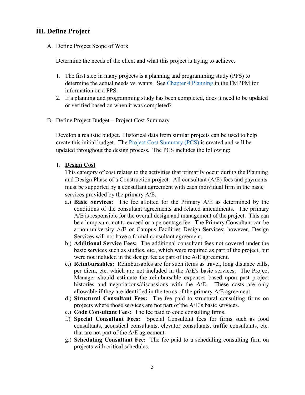### <span id="page-6-0"></span>**III. Define Project**

A. Define Project Scope of Work

Determine the needs of the client and what this project is trying to achieve.

- 1. The first step in many projects is a planning and programming study (PPS) to determine the actual needs vs. wants. See [Chapter 4 Planning](https://www.umsystem.edu/ums/rules/fpm/4_capital_appropriation_request) in the FMPPM for information on a PPS.
- 2. If a planning and programming study has been completed, does it need to be updated or verified based on when it was completed?
- B. Define Project Budget Project Cost Summary

Develop a realistic budget. Historical data from similar projects can be used to help create this initial budget. The [Project Cost Summary \(PCS\)](file://col.missouri.edu/files/fpd/public/Project%20Manager%20Manual/Tools/Project%20Cost%20Summary.docx) is created and will be updated throughout the design process. The PCS includes the following:

1. **Design Cost**

This category of cost relates to the activities that primarily occur during the Planning and Design Phase of a Construction project.All consultant (A/E) fees and payments must be supported by a consultant agreement with each individual firm in the basic services provided by the primary A/E.

- a.) **Basic Services:** The fee allotted for the Primary A/E as determined by the conditions of the consultant agreements and related amendments. The primary A/E is responsible for the overall design and management of the project. This can be a lump sum, not to exceed or a percentage fee. The Primary Consultant can be a non-university A/E or Campus Facilities Design Services; however, Design Services will not have a formal consultant agreement.
- b.) **Additional Service Fees:** The additional consultant fees not covered under the basic services such as studies, etc., which were required as part of the project, but were not included in the design fee as part of the A/E agreement.
- c.) **Reimbursables:** Reimbursables are for such items as travel, long distance calls, per diem, etc. which are not included in the A/E's basic services. The Project Manager should estimate the reimbursable expenses based upon past project histories and negotiations/discussions with the A/E. These costs are only allowable if they are identified in the terms of the primary A/E agreement.
- d.) **Structural Consultant Fees:** The fee paid to structural consulting firms on projects where those services are not part of the A/E's basic services.
- e.) **Code Consultant Fees:** The fee paid to code consulting firms.
- f.) **Special Consultant Fees:** Special Consultant fees for firms such as food consultants, acoustical consultants, elevator consultants, traffic consultants, etc. that are not part of the A/E agreement.
- g.) **Scheduling Consultant Fee:** The fee paid to a scheduling consulting firm on projects with critical schedules.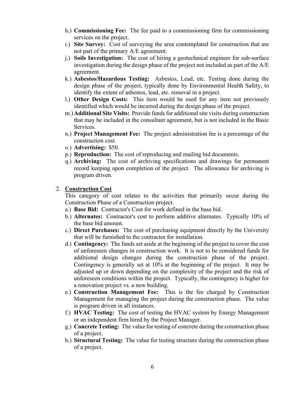- h.) **Commissioning Fee:** The fee paid to a commissioning firm for commissioning services on the project.
- i.) **Site Survey:** Cost of surveying the area contemplated for construction that are not part of the primary A/E agreement.
- j.) **Soils Investigation:** The cost of hiring a geotechnical engineer for sub-surface investigation during the design phase of the project not included as part of the A/E agreement.
- k.) **Asbestos/Hazardous Testing:** Asbestos, Lead, etc. Testing done during the design phase of the project, typically done by Environmental Health Safety, to identify the extent of asbestos, lead, etc. removal in a project.
- l.) **Other Design Costs:** This item would be used for any item not previously identified which would be incurred during the design phase of the project.
- m.)**Additional Site Visits:** Provide funds for additional site visits during construction that may be included in the consultant agreement, but is not included in the Basic Services.
- n.) **Project Management Fee:** The project administration fee is a percentage of the construction cost.
- o.) **Advertising:** \$50.
- p.) **Reproduction:** The cost of reproducing and mailing bid documents.
- q.) **Archiving:** The cost of archiving specifications and drawings for permanent record keeping upon completion of the project. The allowance for archiving is program driven.

#### 2. **Construction Cost**

This category of cost relates to the activities that primarily occur during the Construction Phase of a Construction project.

- a.) **Base Bid:** Contractor's Cost for work defined in the base bid.
- b.) **Alternates:** Contractor's cost to perform additive alternates. Typically 10% of the base bid amount.
- c.) **Direct Purchases:** The cost of purchasing equipment directly by the University that will be furnished to the contractor for installation.
- d.) **Contingency:** The funds set aside at the beginning of the project to cover the cost of unforeseen changes in construction work. It is not to be considered funds for additional design changes during the construction phase of the project. Contingency is generally set at 10% at the beginning of the project. It may be adjusted up or down depending on the complexity of the project and the risk of unforeseen conditions within the project. Typically, the contingency is higher for a renovation project vs. a new building.
- e.) **Construction Management Fee:** This is the fee charged by Construction Management for managing the project during the construction phase. The value is program driven in all instances.
- f.) **HVAC Testing:** The cost of testing the HVAC system by Energy Management or an independent firm hired by the Project Manager.
- g.) **Concrete Testing:** The value for testing of concrete during the construction phase of a project.
- h.) **Structural Testing:** The value for testing structure during the construction phase of a project.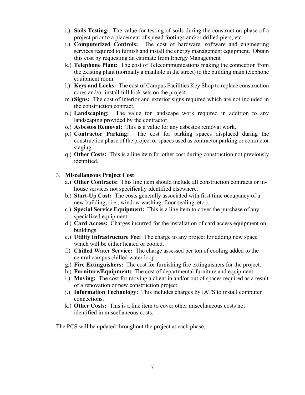- i.) **Soils Testing:** The value for testing of soils during the construction phase of a project prior to a placement of spread footings and/or drilled piers, etc.
- j.) **Computerized Controls:** The cost of hardware, software and engineering services required to furnish and install the energy management equipment. Obtain this cost by requesting an estimate from Energy Management
- k.) **Telephone Plant:** The cost of Telecommunications making the connection from the existing plant (normally a manhole in the street) to the building main telephone equipment room.
- l.) **Keys and Locks:** The cost of Campus Facilities Key Shop to replace construction cores and/or install full lock sets on the project.
- m.)**Signs:** The cost of interior and exterior signs required which are not included in the construction contract.
- n.) **Landscaping:** The value for landscape work required in addition to any landscaping provided by the contractor.
- o.) **Asbestos Removal:** This is a value for any asbestos removal work.
- p.) **Contractor Parking:** The cost for parking spaces displaced during the construction phase of the project or spaces used as contractor parking or contractor staging.
- q.) **Other Costs:** This is a line item for other cost during construction not previously identified.

#### 3. **Miscellaneous Project Cost**

- a.) **Other Contracts:** This line item should include all construction contracts or inhouse services not specifically identified elsewhere.
- b.) **Start-Up Cost:** The costs generally associated with first time occupancy of a new building, (i.e., window washing, floor sealing, etc.).
- c.) **Special Service Equipment:** This is a line item to cover the purchase of any specialized equipment.
- d.) **Card Access:** Charges incurred for the installation of card access equipment on buildings.
- e.) **Utility Infrastructure Fee:** The charge to any project for adding new space which will be either heated or cooled.
- f.) **Chilled Water Service:** The charge assessed per ton of cooling added to the central campus chilled water loop.
- g.) **Fire Extinguishers:** The cost for furnishing fire extinguishers for the project.
- h.) **Furniture/Equipment:** The cost of departmental furniture and equipment.
- i.) **Moving:** The cost for moving a client in and/or out of spaces required as a result of a renovation or new construction project.
- j.) **Information Technology:** This includes charges by IATS to install computer connections.
- k.) **Other Costs:** This is a line item to cover other miscellaneous costs not identified in miscellaneous costs.

The PCS will be updated throughout the project at each phase.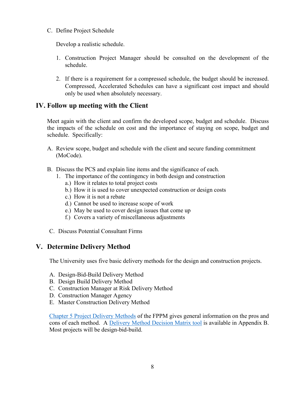C. Define Project Schedule

Develop a realistic schedule.

- 1. Construction Project Manager should be consulted on the development of the schedule.
- 2. If there is a requirement for a compressed schedule, the budget should be increased. Compressed, Accelerated Schedules can have a significant cost impact and should only be used when absolutely necessary.

#### <span id="page-9-0"></span>**IV. Follow up meeting with the Client**

Meet again with the client and confirm the developed scope, budget and schedule. Discuss the impacts of the schedule on cost and the importance of staying on scope, budget and schedule. Specifically:

- A. Review scope, budget and schedule with the client and secure funding commitment (MoCode).
- B. Discuss the PCS and explain line items and the significance of each.
	- 1. The importance of the contingency in both design and construction
		- a.) How it relates to total project costs
		- b.) How it is used to cover unexpected construction or design costs
		- c.) How it is not a rebate
		- d.) Cannot be used to increase scope of work
		- e.) May be used to cover design issues that come up
		- f.) Covers a variety of miscellaneous adjustments
- C. Discuss Potential Consultant Firms

### <span id="page-9-1"></span>**V. Determine Delivery Method**

The University uses five basic delivery methods for the design and construction projects.

- A. Design-Bid-Build Delivery Method
- B. Design Build Delivery Method
- C. Construction Manager at Risk Delivery Method
- D. Construction Manager Agency
- E. Master Construction Delivery Method

[Chapter 5 Project Delivery Methods](https://www.umsystem.edu/ums/rules/fpm/5_professional_services) of the FPPM gives general information on the pros and cons of each method. A [Delivery Method Decision Matrix tool](https://uminfopoint.umsystem.edu/media/fa/management/facilities/docs/Construction%20Delivery%20Methods.pdf) is available in Appendix B. Most projects will be design-bid-build.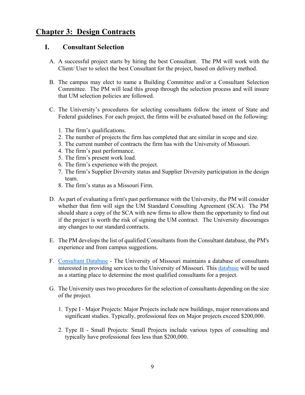### <span id="page-10-0"></span>**Chapter 3: Design Contracts**

#### <span id="page-10-1"></span>**I. Consultant Selection**

- A. A successful project starts by hiring the best Consultant. The PM will work with the Client/ User to select the best Consultant for the project, based on delivery method.
- B. The campus may elect to name a Building Committee and/or a Consultant Selection Committee. The PM will lead this group through the selection process and will insure that UM selection policies are followed.
- C. The University's procedures for selecting consultants follow the intent of State and Federal guidelines. For each project, the firms will be evaluated based on the following:
	- 1. The firm's qualifications.
	- 2. The number of projects the firm has completed that are similar in scope and size.
	- 3. The current number of contracts the firm has with the University of Missouri.
	- 4. The firm's past performance.
	- 5. The firm's present work load.
	- 6. The firm's experience with the project.
	- 7. The firm's Supplier Diversity status and Supplier Diversity participation in the design team.
	- 8. The firm's status as a Missouri Firm.
- D. As part of evaluating a firm's past performance with the University, the PM will consider whether that firm will sign the UM Standard Consulting Agreement (SCA). The PM should share a copy of the SCA with new firms to allow them the opportunity to find out if the project is worth the risk of signing the UM contract. The University discourages any changes to our standard contracts.
- E. The PM develops the list of qualified Consultants from the Consultant database, the PM's experience and from campus suggestions.
- F. [Consultant Database](https://appsprod.missouri.edu/FpdConsult/Login.aspx?ReturnUrl=%2fFpdConsult%2fAdmin%2fFirms.aspx) The University of Missouri maintains a database of consultants interested in providing services to the University of Missouri. This [database](http://www.umsystem.edu/ums/fa/management/facilities/consultant/) will be used as a starting place to determine the most qualified consultants for a project.
- G. The University uses two procedures for the selection of consultants depending on the size of the project.
	- 1. Type I Major Projects: Major Projects include new buildings, major renovations and significant studies. Typically, professional fees on Major projects exceed \$200,000.
	- 2. Type II Small Projects: Small Projects include various types of consulting and typically have professional fees less than \$200,000.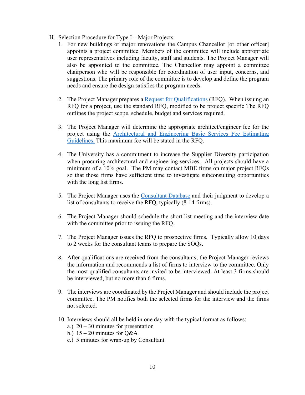- H. Selection Procedure for Type I Major Projects
	- 1. For new buildings or major renovations the Campus Chancellor [or other officer] appoints a project committee. Members of the committee will include appropriate user representatives including faculty, staff and students. The Project Manager will also be appointed to the committee. The Chancellor may appoint a committee chairperson who will be responsible for coordination of user input, concerns, and suggestions. The primary role of the committee is to develop and define the program needs and ensure the design satisfies the program needs.
	- 2. The Project Manager prepares a [Request for Qualifications](https://uminfopoint.umsystem.edu/media/_layouts/WordViewer.aspx?id=/media/fa/management/facilities/docs/RFQ%20-Consultant.doc&Source=https%3A%2F%2Fuminfopoint%2Eumsystem%2Eedu%2Fmedia%2Ffa%2FForms%2FAllItems%2Easpx%3FRootFolder%3D%252Fmedia%252Ffa%252Fmanagement%252Ffacilities%252Fdocs%26FolderCTID%3D0x01200002F5CFB8FEDFCA4294F952E1B7C0A0DB%26View%3D%7B63171E52%2D62D7%2D4DBC%2D8829%2DE9803060A17F%7D%26InitialTabId%3DRibbon%252EDocument%26VisibilityContext%3DWSSTabPersistence&DefaultItemOpen=1) (RFQ). When issuing an RFQ for a project, use the standard RFQ, modified to be project specific The RFQ outlines the project scope, schedule, budget and services required.
	- 3. The Project Manager will determine the appropriate architect/engineer fee for the project using the [Architectural and Engineering Basic Services Fee Estimating](https://uminfopoint.umsystem.edu/media/fa/management/facilities/docs/Architectural%20and%20Engineering%20Basic%20Services%20Fee%20Estimating%20Guidelines%20v4.pdf)  [Guidelines.](https://uminfopoint.umsystem.edu/media/fa/management/facilities/docs/Architectural%20and%20Engineering%20Basic%20Services%20Fee%20Estimating%20Guidelines%20v4.pdf) This maximum fee will be stated in the RFQ.
	- 4. The University has a commitment to increase the Supplier Diversity participation when procuring architectural and engineering services. All projects should have a minimum of a 10% goal. The PM may contact MBE firms on major project RFQs so that those firms have sufficient time to investigate subconsulting opportunities with the long list firms.
	- 5. The Project Manager uses the [Consultant Database](http://www.umsystem.edu/ums/fa/management/facilities/consultant/) and their judgment to develop a list of consultants to receive the RFQ, typically (8-14 firms).
	- 6. The Project Manager should schedule the short list meeting and the interview date with the committee prior to issuing the RFQ.
	- 7. The Project Manager issues the RFQ to prospective firms. Typically allow 10 days to 2 weeks for the consultant teams to prepare the SOQs.
	- 8. After qualifications are received from the consultants, the Project Manager reviews the information and recommends a list of firms to interview to the committee. Only the most qualified consultants are invited to be interviewed. At least 3 firms should be interviewed, but no more than 6 firms.
	- 9. The interviews are coordinated by the Project Manager and should include the project committee. The PM notifies both the selected firms for the interview and the firms not selected.
	- 10. Interviews should all be held in one day with the typical format as follows:
		- a.)  $20 30$  minutes for presentation
		- b.)  $15 20$  minutes for O&A
		- c.) 5 minutes for wrap-up by Consultant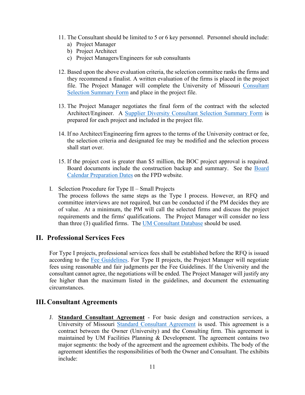- 11. The Consultant should be limited to 5 or 6 key personnel. Personnel should include:
	- a) Project Manager
	- b) Project Architect
	- c) Project Managers/Engineers for sub consultants
- 12. Based upon the above evaluation criteria, the selection committee ranks the firms and they recommend a finalist. A written evaluation of the firms is placed in the project file. The Project Manager will complete the University of Missouri [Consultant](https://uminfopoint.umsystem.edu/media/_layouts/WordViewer.aspx?id=/media/fa/management/facilities/docs/Consultant%20Selection%20Summary.doc&Source=https%3A%2F%2Fuminfopoint%2Eumsystem%2Eedu%2Fmedia%2Ffa%2FForms%2FAllItems%2Easpx%3FRootFolder%3D%252Fmedia%252Ffa%252Fmanagement%252Ffacilities%252Fdocs%26FolderCTID%3D0x01200002F5CFB8FEDFCA4294F952E1B7C0A0DB%26View%3D%7B63171E52%2D62D7%2D4DBC%2D8829%2DE9803060A17F%7D%26InitialTabId%3DRibbon%252EDocument%26VisibilityContext%3DWSSTabPersistence&DefaultItemOpen=1)  [Selection Summary Form](https://uminfopoint.umsystem.edu/media/_layouts/WordViewer.aspx?id=/media/fa/management/facilities/docs/Consultant%20Selection%20Summary.doc&Source=https%3A%2F%2Fuminfopoint%2Eumsystem%2Eedu%2Fmedia%2Ffa%2FForms%2FAllItems%2Easpx%3FRootFolder%3D%252Fmedia%252Ffa%252Fmanagement%252Ffacilities%252Fdocs%26FolderCTID%3D0x01200002F5CFB8FEDFCA4294F952E1B7C0A0DB%26View%3D%7B63171E52%2D62D7%2D4DBC%2D8829%2DE9803060A17F%7D%26InitialTabId%3DRibbon%252EDocument%26VisibilityContext%3DWSSTabPersistence&DefaultItemOpen=1) and place in the project file.
- 13. The Project Manager negotiates the final form of the contract with the selected Architect/Engineer. A [Supplier Diversity Consultant Selection Summary Form](https://uminfopoint.umsystem.edu/media/fa/management/facilities/docs/Consultant%20Selection%20Summary.docx) is prepared for each project and included in the project file.
- 14. If no Architect/Engineering firm agrees to the terms of the University contract or fee, the selection criteria and designated fee may be modified and the selection process shall start over.
- 15. If the project cost is greater than \$5 million, the BOC project approval is required. Board documents include the construction backup and summary. See the [Board](mailto:https://www.umsystem.edu/ums/fa/facilities/board_calendar_preparation_dates)  [Calendar Preparation Dates](mailto:https://www.umsystem.edu/ums/fa/facilities/board_calendar_preparation_dates) on the FPD website.
- I. Selection Procedure for Type II Small Projects The process follows the same steps as the Type I process. However, an RFQ and committee interviews are not required, but can be conducted if the PM decides they are of value. At a minimum, the PM will call the selected firms and discuss the project requirements and the firms' qualifications. The Project Manager will consider no less than three (3) qualified firms. The [UM Consultant Database](mailto:https://appsprod.missouri.edu/FpdConsult/Login.aspx) should be used.

#### <span id="page-12-0"></span>**II. Professional Services Fees**

For Type I projects, professional services fees shall be established before the RFQ is issued according to the [Fee Guidelines.](https://uminfopoint.umsystem.edu/media/fa/management/facilities/docs/Architectural%20and%20Engineering%20Basic%20Services%20Fee%20Estimating%20Guidelines%20v4.pdf) For Type II projects, the Project Manager will negotiate fees using reasonable and fair judgments per the Fee Guidelines. If the University and the consultant cannot agree, the negotiations will be ended. The Project Manager will justify any fee higher than the maximum listed in the guidelines, and document the extenuating circumstances.

#### <span id="page-12-1"></span>**III. Consultant Agreements**

J. **Standard Consultant Agreement** - For basic design and construction services, a University of Missouri [Standard Consultant Agreement](https://uminfopoint.umsystem.edu/media/fa/management/facilities/docs/Standard%20Consulting%20Agreement.pdf) is used. This agreement is a contract between the Owner (University) and the Consulting firm. This agreement is maintained by UM Facilities Planning & Development. The agreement contains two major segments: the body of the agreement and the agreement exhibits. The body of the agreement identifies the responsibilities of both the Owner and Consultant. The exhibits include: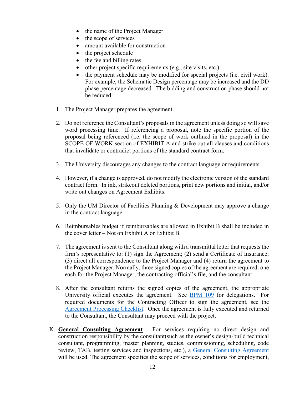- the name of the Project Manager
- the scope of services
- amount available for construction
- the project schedule
- the fee and billing rates
- other project specific requirements (e.g., site visits, etc.)
- the payment schedule may be modified for special projects (i.e. civil work). For example, the Schematic Design percentage may be increased and the DD phase percentage decreased. The bidding and construction phase should not be reduced.
- 1. The Project Manager prepares the agreement.
- 2. Do not reference the Consultant's proposals in the agreement unless doing so will save word processing time. If referencing a proposal, note the specific portion of the proposal being referenced (i.e. the scope of work outlined in the proposal) in the SCOPE OF WORK section of EXHIBIT A and strike out all clauses and conditions that invalidate or contradict portions of the standard contract form.
- 3. The University discourages any changes to the contract language or requirements.
- 4. However, if a change is approved, do not modify the electronic version of the standard contract form. In ink, strikeout deleted portions, print new portions and initial, and/or write out changes on Agreement Exhibits.
- 5. Only the UM Director of Facilities Planning & Development may approve a change in the contract language.
- 6. Reimbursables budget if reimbursables are allowed in Exhibit B shall be included in the cover letter – Not on Exhibit A or Exhibit B.
- 7. The agreement is sent to the Consultant along with a transmittal letter that requests the firm's representative to: (1) sign the Agreement; (2) send a Certificate of Insurance; (3) direct all correspondence to the Project Manager and (4) return the agreement to the Project Manager. Normally, three signed copies of the agreement are required: one each for the Project Manager, the contracting official's file, and the consultant.
- 8. After the consultant returns the signed copies of the agreement, the appropriate University official executes the agreement. See [BPM 109](https://www.umsystem.edu/ums/rules/bpm/bpm100/manual_109) for delegations. For required documents for the Contracting Officer to sign the agreement, see the [Agreement Processing Checklist.](https://uminfopoint.umsystem.edu/media/fa/management/facilities/docs/CMR%20Agreement%20Processing%20Form.docx) Once the agreement is fully executed and returned to the Consultant, the Consultant may proceed with the project.
- K. **General Consulting Agreement** For services requiring no direct design and construction responsibility by the consultant(such as the owner's design-build technical consultant, programming, master planning, studies, commissioning, scheduling, code review, TAB, testing services and inspections, etc.), a [General Consulting Agreement](https://uminfopoint.umsystem.edu/media/fa/management/facilities/docs/General%20Consulting%20Agreement.docx) will be used. The agreement specifies the scope of services, conditions for employment,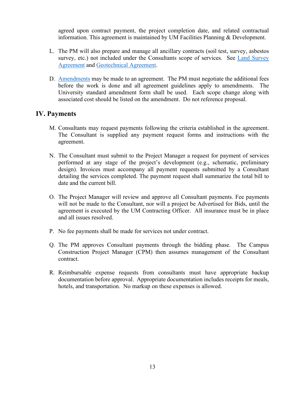agreed upon contract payment, the project completion date, and related contractual information. This agreement is maintained by UM Facilities Planning & Development.

- L. The PM will also prepare and manage all ancillary contracts (soil test, survey, asbestos survey, etc.) not included under the Consultants scope of services. See [Land Survey](https://uminfopoint.umsystem.edu/media/fa/management/facilities/docs/land%20surveyor%20agreement%20-%20no%20transmittal%20letter.docx)  [Agreement](https://uminfopoint.umsystem.edu/media/fa/management/facilities/docs/land%20surveyor%20agreement%20-%20no%20transmittal%20letter.docx) and [Geotechnical Agreement.](https://uminfopoint.umsystem.edu/media/fa/management/facilities/docs/geotechnical%20engineer%20agreement%20-%20no%20cover%20letter.docx)
- D. [Amendments](https://uminfopoint.umsystem.edu/media/fa/management/facilities/docs/Amendment.doc) may be made to an agreement. The PM must negotiate the additional fees before the work is done and all agreement guidelines apply to amendments. The University standard amendment form shall be used. Each scope change along with associated cost should be listed on the amendment. Do not reference proposal.

#### <span id="page-14-0"></span>**IV. Payments**

- M. Consultants may request payments following the criteria established in the agreement. The Consultant is supplied any payment request forms and instructions with the agreement.
- N. The Consultant must submit to the Project Manager a request for payment of services performed at any stage of the project's development (e.g., schematic, preliminary design). Invoices must accompany all payment requests submitted by a Consultant detailing the services completed. The payment request shall summarize the total bill to date and the current bill.
- O. The Project Manager will review and approve all Consultant payments. Fee payments will not be made to the Consultant, nor will a project be Advertised for Bids, until the agreement is executed by the UM Contracting Officer. All insurance must be in place and all issues resolved.
- P. No fee payments shall be made for services not under contract.
- Q. The PM approves Consultant payments through the bidding phase. The Campus Construction Project Manager (CPM) then assumes management of the Consultant contract.
- R. Reimbursable expense requests from consultants must have appropriate backup documentation before approval. Appropriate documentation includes receipts for meals, hotels, and transportation. No markup on these expenses is allowed.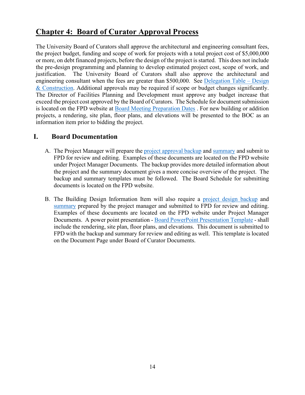## <span id="page-15-0"></span>**Chapter 4: Board of Curator Approval Process**

The University Board of Curators shall approve the architectural and engineering consultant fees, the project budget, funding and scope of work for projects with a total project cost of \$5,000,000 or more, on debt financed projects, before the design of the project is started. This does not include the pre-design programming and planning to develop estimated project cost, scope of work, and justification. The University Board of Curators shall also approve the architectural and engineering consultant when the fees are greater than \$500,000. See [Delegation Table –](https://uminfopoint.umsystem.edu/media/fa/management/facilities/Delegation-Table-Construction.pdf) Design [& Construction.](https://uminfopoint.umsystem.edu/media/fa/management/facilities/Delegation-Table-Construction.pdf) Additional approvals may be required if scope or budget changes significantly. The Director of Facilities Planning and Development must approve any budget increase that exceed the project cost approved by the Board of Curators. The Schedule for document submission is located on the FPD website at [Board Meeting Preparation Dates](https://www.umsystem.edu/ums/fa/facilities/board_calendar_preparation_dates) . For new building or addition projects, a rendering, site plan, floor plans, and elevations will be presented to the BOC as an information item prior to bidding the project.

#### <span id="page-15-1"></span>**I. Board Documentation**

- A. The Project Manager will prepare the [project approval backup](https://www.umsystem.edu/ums/fa/facilities/fpd_forms_page) and [summary](https://www.umsystem.edu/ums/fa/facilities/fpd_forms_page) and submit to FPD for review and editing. Examples of these documents are located on the FPD website under Project Manager Documents. The backup provides more detailed information about the project and the summary document gives a more concise overview of the project. The backup and summary templates must be followed. The Board Schedule for submitting documents is located on the FPD website.
- B. The Building Design Information Item will also require a [project design backup](https://www.umsystem.edu/ums/fa/facilities/fpd_forms_page) and [summary](https://www.umsystem.edu/ums/fa/facilities/fpd_forms_page) prepared by the project manager and submitted to FPD for review and editing. Examples of these documents are located on the FPD website under Project Manager Documents. A power point presentation - [Board PowerPoint Presentation Template](https://www.umsystem.edu/ums/fa/facilities/fpd_forms_page) - shall include the rendering, site plan, floor plans, and elevations. This document is submitted to FPD with the backup and summary for review and editing as well. This template is located on the Document Page under Board of Curator Documents.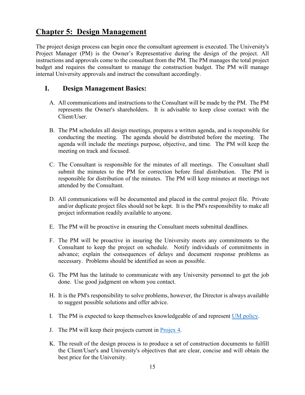### <span id="page-16-0"></span>**Chapter 5: Design Management**

The project design process can begin once the consultant agreement is executed. The University's Project Manager (PM) is the Owner's Representative during the design of the project. All instructions and approvals come to the consultant from the PM. The PM manages the total project budget and requires the consultant to manage the construction budget. The PM will manage internal University approvals and instruct the consultant accordingly.

#### <span id="page-16-1"></span>**I. Design Management Basics:**

- A. All communications and instructions to the Consultant will be made by the PM. The PM represents the Owner's shareholders. It is advisable to keep close contact with the Client/User.
- B. The PM schedules all design meetings, prepares a written agenda, and is responsible for conducting the meeting. The agenda should be distributed before the meeting. The agenda will include the meetings purpose, objective, and time. The PM will keep the meeting on track and focused.
- C. The Consultant is responsible for the minutes of all meetings. The Consultant shall submit the minutes to the PM for correction before final distribution. The PM is responsible for distribution of the minutes. The PM will keep minutes at meetings not attended by the Consultant.
- D. All communications will be documented and placed in the central project file. Private and/or duplicate project files should not be kept. It is the PM's responsibility to make all project information readily available to anyone.
- E. The PM will be proactive in ensuring the Consultant meets submittal deadlines.
- F. The PM will be proactive in insuring the University meets any commitments to the Consultant to keep the project on schedule. Notify individuals of commitments in advance; explain the consequences of delays and document response problems as necessary. Problems should be identified as soon as possible.
- G. The PM has the latitude to communicate with any University personnel to get the job done. Use good judgment on whom you contact.
- H. It is the PM's responsibility to solve problems, however, the Director is always available to suggest possible solutions and offer advice.
- I. The PM is expected to keep themselves knowledgeable of and represent [UM policy.](https://www.umsystem.edu/ums/rules/fpm)
- J. The PM will keep their projects current in [Projex 4.](https://projex4.cf.missouri.edu/projex/)
- K. The result of the design process is to produce a set of construction documents to fulfill the Client/User's and University's objectives that are clear, concise and will obtain the best price for the University.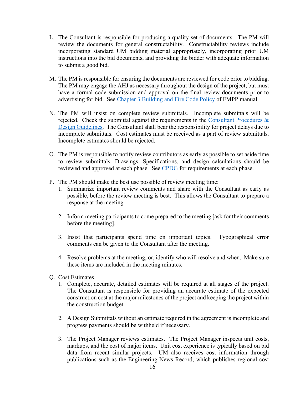- L. The Consultant is responsible for producing a quality set of documents. The PM will review the documents for general constructability. Constructability reviews include incorporating standard UM bidding material appropriately, incorporating prior UM instructions into the bid documents, and providing the bidder with adequate information to submit a good bid.
- M. The PM is responsible for ensuring the documents are reviewed for code prior to bidding. The PM may engage the AHJ as necessary throughout the design of the project, but must have a formal code submission and approval on the final review documents prior to advertising for bid. See [Chapter 3 Building and Fire Code Policy](https://www.umsystem.edu/ums/rules/fpm/3_Facilities_Master_Planning) of FMPP manual.
- N. The PM will insist on complete review submittals. Incomplete submittals will be rejected. Check the submittal against the requirements in the [Consultant Procedures &](https://www.umsystem.edu/ums/fa/facilities/guidelines/)  [Design Guidelines.](https://www.umsystem.edu/ums/fa/facilities/guidelines/) The Consultant shall bear the responsibility for project delays due to incomplete submittals. Cost estimates must be received as a part of review submittals. Incomplete estimates should be rejected.
- O. The PM is responsible to notify review contributors as early as possible to set aside time to review submittals. Drawings, Specifications, and design calculations should be reviewed and approved at each phase. See [CPDG](https://www.umsystem.edu/ums/fa/facilities/guidelines/) for requirements at each phase.
- P. The PM should make the best use possible of review meeting time:
	- 1. Summarize important review comments and share with the Consultant as early as possible, before the review meeting is best. This allows the Consultant to prepare a response at the meeting.
	- 2. Inform meeting participants to come prepared to the meeting [ask for their comments before the meeting].
	- 3. Insist that participants spend time on important topics. Typographical error comments can be given to the Consultant after the meeting.
	- 4. Resolve problems at the meeting, or, identify who will resolve and when. Make sure these items are included in the meeting minutes.
- Q. Cost Estimates
	- 1. Complete, accurate, detailed estimates will be required at all stages of the project. The Consultant is responsible for providing an accurate estimate of the expected construction cost at the major milestones of the project and keeping the project within the construction budget.
	- 2. A Design Submittals without an estimate required in the agreement is incomplete and progress payments should be withheld if necessary.
	- 3. The Project Manager reviews estimates. The Project Manager inspects unit costs, markups, and the cost of major items. Unit cost experience is typically based on bid data from recent similar projects. UM also receives cost information through publications such as the Engineering News Record, which publishes regional cost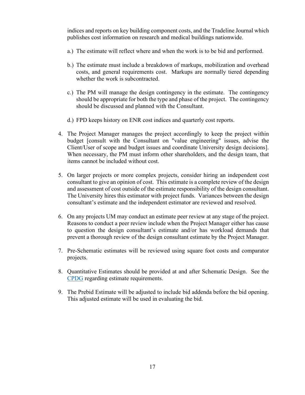indices and reports on key building component costs, and the Tradeline Journal which publishes cost information on research and medical buildings nationwide.

- a.) The estimate will reflect where and when the work is to be bid and performed.
- b.) The estimate must include a breakdown of markups, mobilization and overhead costs, and general requirements cost. Markups are normally tiered depending whether the work is subcontracted.
- c.) The PM will manage the design contingency in the estimate. The contingency should be appropriate for both the type and phase of the project. The contingency should be discussed and planned with the Consultant.
- d.) FPD keeps history on ENR cost indices and quarterly cost reports.
- 4. The Project Manager manages the project accordingly to keep the project within budget [consult with the Consultant on "value engineering" issues, advise the Client/User of scope and budget issues and coordinate University design decisions]. When necessary, the PM must inform other shareholders, and the design team, that items cannot be included without cost.
- 5. On larger projects or more complex projects, consider hiring an independent cost consultant to give an opinion of cost. This estimate is a complete review of the design and assessment of cost outside of the estimate responsibility of the design consultant. The University hires this estimator with project funds. Variances between the design consultant's estimate and the independent estimator are reviewed and resolved.
- 6. On any projects UM may conduct an estimate peer review at any stage of the project. Reasons to conduct a peer review include when the Project Manager either has cause to question the design consultant's estimate and/or has workload demands that prevent a thorough review of the design consultant estimate by the Project Manager.
- 7. Pre-Schematic estimates will be reviewed using square foot costs and comparator projects.
- 8. Quantitative Estimates should be provided at and after Schematic Design. See the [CPDG](https://www.umsystem.edu/ums/fa/facilities/guidelines/) regarding estimate requirements.
- 9. The Prebid Estimate will be adjusted to include bid addenda before the bid opening. This adjusted estimate will be used in evaluating the bid.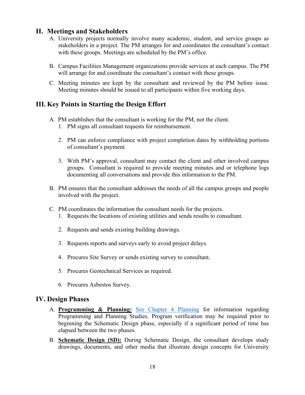### <span id="page-19-0"></span>**II. Meetings and Stakeholders**

- A. University projects normally involve many academic, student, and service groups as stakeholders in a project. The PM arranges for and coordinates the consultant's contact with these groups. Meetings are scheduled by the PM's office.
- B. Campus Facilities Management organizations provide services at each campus. The PM will arrange for and coordinate the consultant's contact with these groups.
- C. Meeting minutes are kept by the consultant and reviewed by the PM before issue. Meeting minutes should be issued to all participants within five working days.

### <span id="page-19-1"></span>**III. Key Points in Starting the Design Effort**

- A. PM establishes that the consultant is working for the PM, not the client.
	- 1. PM signs all consultant requests for reimbursement.
	- 2. PM can enforce compliance with project completion dates by withholding portions of consultant's payment.
	- 3. With PM's approval, consultant may contact the client and other involved campus groups. Consultant is required to provide meeting minutes and or telephone logs documenting all conversations and provide this information to the PM.
- B. PM ensures that the consultant addresses the needs of all the campus groups and people involved with the project.
- C. PM coordinates the information the consultant needs for the projects.
	- 1. Requests the locations of existing utilities and sends results to consultant.
	- 2. Requests and sends existing building drawings.
	- 3. Requests reports and surveys early to avoid project delays.
	- 4. Procures Site Survey or sends existing survey to consultant.
	- 5. Procures Geotechnical Services as required.
	- 6. Procures Asbestos Survey.

#### <span id="page-19-2"></span>**IV. Design Phases**

- A. **Programming & Planning:** [See Chapter 4 Planning](ttps://www.umsystem.edu/ums/rules/fpm/4_capital_appropriation_request) for information regarding Programming and Planning Studies. Program verification may be required prior to beginning the Schematic Design phase, especially if a significant period of time has elapsed between the two phases.
- B. **Schematic Design (SD):** During Schematic Design, the consultant develops study drawings, documents, and other media that illustrate design concepts for University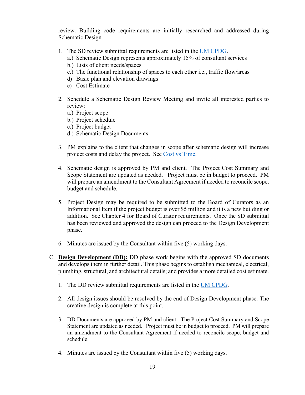review. Building code requirements are initially researched and addressed during Schematic Design.

- 1. The SD review submittal requirements are listed in the [UM CPDG.](https://www.umsystem.edu/ums/fa/facilities/guidelines/)
	- a.) Schematic Design represents approximately 15% of consultant services
	- b.) Lists of client needs/spaces
	- c.) The functional relationship of spaces to each other i.e., traffic flow/areas
	- d) Basic plan and elevation drawings
	- e) Cost Estimate
- 2. Schedule a Schematic Design Review Meeting and invite all interested parties to review:
	- a.) Project scope
	- b.) Project schedule
	- c.) Project budget
	- d.) Schematic Design Documents
- 3. PM explains to the client that changes in scope after schematic design will increase project costs and delay the project. See [Cost vs Time.](https://uminfopoint.umsystem.edu/media/fa/management/facilities/docs/Cost%20vs%20Quality%20vs%20Schedule.pdf)
- 4. Schematic design is approved by PM and client. The Project Cost Summary and Scope Statement are updated as needed. Project must be in budget to proceed. PM will prepare an amendment to the Consultant Agreement if needed to reconcile scope, budget and schedule.
- 5. Project Design may be required to be submitted to the Board of Curators as an Informational Item if the project budget is over \$5 million and it is a new building or addition. See Chapter 4 for Board of Curator requirements. Once the SD submittal has been reviewed and approved the design can proceed to the Design Development phase.
- 6. Minutes are issued by the Consultant within five (5) working days.
- C. **Design Development (DD):** DD phase work begins with the approved SD documents and develops them in further detail. This phase begins to establish mechanical, electrical, plumbing, structural, and architectural details; and provides a more detailed cost estimate.
	- 1. The DD review submittal requirements are listed in the [UM CPDG.](https://www.umsystem.edu/ums/fa/facilities/guidelines/)
	- 2. All design issues should be resolved by the end of Design Development phase. The creative design is complete at this point.
	- 3. DD Documents are approved by PM and client. The Project Cost Summary and Scope Statement are updated as needed. Project must be in budget to proceed. PM will prepare an amendment to the Consultant Agreement if needed to reconcile scope, budget and schedule.
	- 4. Minutes are issued by the Consultant within five (5) working days.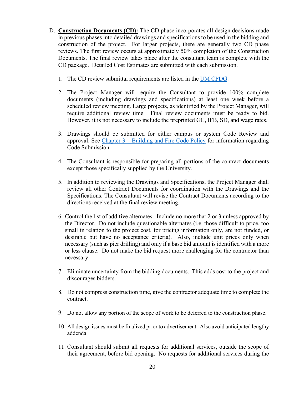- D. **Construction Documents (CD):** The CD phase incorporates all design decisions made in previous phases into detailed drawings and specifications to be used in the bidding and construction of the project. For larger projects, there are generally two CD phase reviews. The first review occurs at approximately 50% completion of the Construction Documents. The final review takes place after the consultant team is complete with the CD package. Detailed Cost Estimates are submitted with each submission.
	- 1. The CD review submittal requirements are listed in the [UM CPDG.](https://www.umsystem.edu/ums/fa/facilities/fpd_forms_page)
	- 2. The Project Manager will require the Consultant to provide 100% complete documents (including drawings and specifications) at least one week before a scheduled review meeting. Large projects, as identified by the Project Manager, will require additional review time. Final review documents must be ready to bid. However, it is not necessary to include the preprinted GC, IFB, SD, and wage rates.
	- 3. Drawings should be submitted for either campus or system Code Review and approval. See Chapter 3 – [Building and Fire Code Policy](https://www.umsystem.edu/ums/rules/fpm/3_Facilities_Master_Planning) for information regarding Code Submission.
	- 4. The Consultant is responsible for preparing all portions of the contract documents except those specifically supplied by the University.
	- 5. In addition to reviewing the Drawings and Specifications, the Project Manager shall review all other Contract Documents for coordination with the Drawings and the Specifications. The Consultant will revise the Contract Documents according to the directions received at the final review meeting.
	- 6. Control the list of additive alternates. Include no more that 2 or 3 unless approved by the Director. Do not include questionable alternates (i.e. those difficult to price, too small in relation to the project cost, for pricing information only, are not funded, or desirable but have no acceptance criteria). Also, include unit prices only when necessary (such as pier drilling) and only if a base bid amount is identified with a more or less clause. Do not make the bid request more challenging for the contractor than necessary.
	- 7. Eliminate uncertainty from the bidding documents. This adds cost to the project and discourages bidders.
	- 8. Do not compress construction time, give the contractor adequate time to complete the contract.
	- 9. Do not allow any portion of the scope of work to be deferred to the construction phase.
	- 10. All design issues must be finalized prior to advertisement. Also avoid anticipated lengthy addenda.
	- 11. Consultant should submit all requests for additional services, outside the scope of their agreement, before bid opening. No requests for additional services during the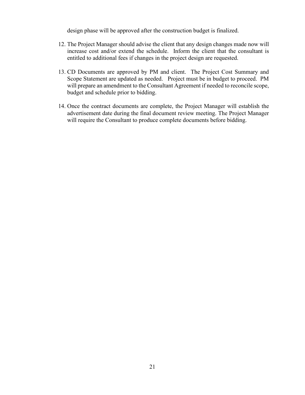design phase will be approved after the construction budget is finalized.

- 12. The Project Manager should advise the client that any design changes made now will increase cost and/or extend the schedule. Inform the client that the consultant is entitled to additional fees if changes in the project design are requested.
- 13. CD Documents are approved by PM and client. The Project Cost Summary and Scope Statement are updated as needed. Project must be in budget to proceed. PM will prepare an amendment to the Consultant Agreement if needed to reconcile scope, budget and schedule prior to bidding.
- 14. Once the contract documents are complete, the Project Manager will establish the advertisement date during the final document review meeting. The Project Manager will require the Consultant to produce complete documents before bidding.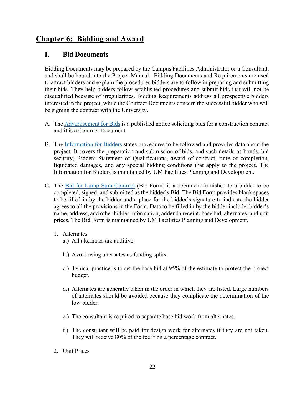### <span id="page-23-0"></span>**Chapter 6: Bidding and Award**

#### <span id="page-23-1"></span>**I. Bid Documents**

Bidding Documents may be prepared by the Campus Facilities Administrator or a Consultant, and shall be bound into the Project Manual. Bidding Documents and Requirements are used to attract bidders and explain the procedures bidders are to follow in preparing and submitting their bids. They help bidders follow established procedures and submit bids that will not be disqualified because of irregularities. Bidding Requirements address all prospective bidders interested in the project, while the Contract Documents concern the successful bidder who will be signing the contract with the University.

- A. The [Advertisement for Bids](http://www.umsystem.edu/ums/fa/facilities/bids/) is a published notice soliciting bids for a construction contract and it is a Contract Document.
- B. The [Information for Bidders](https://uminfopoint.umsystem.edu/media/fa/management/facilities/docs/Information%20for%20Bidders.docx) states procedures to be followed and provides data about the project. It covers the preparation and submission of bids, and such details as bonds, bid security, Bidders Statement of Qualifications, award of contract, time of completion, liquidated damages, and any special bidding conditions that apply to the project. The Information for Bidders is maintained by UM Facilities Planning and Development.
- C. The [Bid for Lump Sum Contract](file://col.missouri.edu/files/fpd/public/Project%20Manager%20Manual/Tools/Bid%20for%20Lump%20Sum.docx) (Bid Form) is a document furnished to a bidder to be completed, signed, and submitted as the bidder's Bid. The Bid Form provides blank spaces to be filled in by the bidder and a place for the bidder's signature to indicate the bidder agrees to all the provisions in the Form. Data to be filled in by the bidder include: bidder's name, address, and other bidder information, addenda receipt, base bid, alternates, and unit prices. The Bid Form is maintained by UM Facilities Planning and Development.
	- 1. Alternates
		- a.) All alternates are additive.
		- b.) Avoid using alternates as funding splits.
		- c.) Typical practice is to set the base bid at 95% of the estimate to protect the project budget.
		- d.) Alternates are generally taken in the order in which they are listed. Large numbers of alternates should be avoided because they complicate the determination of the low bidder.
		- e.) The consultant is required to separate base bid work from alternates.
		- f.) The consultant will be paid for design work for alternates if they are not taken. They will receive 80% of the fee if on a percentage contract.
	- 2. Unit Prices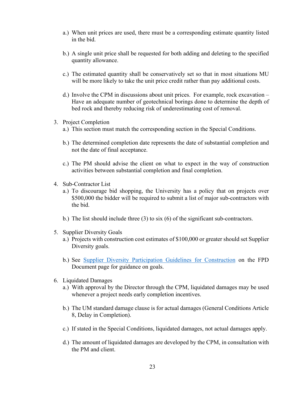- a.) When unit prices are used, there must be a corresponding estimate quantity listed in the bid.
- b.) A single unit price shall be requested for both adding and deleting to the specified quantity allowance.
- c.) The estimated quantity shall be conservatively set so that in most situations MU will be more likely to take the unit price credit rather than pay additional costs.
- d.) Involve the CPM in discussions about unit prices. For example, rock excavation Have an adequate number of geotechnical borings done to determine the depth of bed rock and thereby reducing risk of underestimating cost of removal.
- 3. Project Completion
	- a.) This section must match the corresponding section in the Special Conditions.
	- b.) The determined completion date represents the date of substantial completion and not the date of final acceptance.
	- c.) The PM should advise the client on what to expect in the way of construction activities between substantial completion and final completion.
- 4. Sub-Contractor List
	- a.) To discourage bid shopping, the University has a policy that on projects over \$500,000 the bidder will be required to submit a list of major sub-contractors with the bid.
	- b.) The list should include three (3) to six (6) of the significant sub-contractors.
- 5. Supplier Diversity Goals
	- a.) Projects with construction cost estimates of \$100,000 or greater should set Supplier Diversity goals.
	- b.) See [Supplier Diversity Participation Guidelines for Construction](https://uminfopoint.umsystem.edu/media/fa/management/facilities/docs/Supplier%20Diversity%20Participation%20Guidelines%20for%20Construction.pdf) on the FPD Document page for guidance on goals.
- 6. Liquidated Damages
	- a.) With approval by the Director through the CPM, liquidated damages may be used whenever a project needs early completion incentives.
	- b.) The UM standard damage clause is for actual damages (General Conditions Article 8, Delay in Completion).
	- c.) If stated in the Special Conditions, liquidated damages, not actual damages apply.
	- d.) The amount of liquidated damages are developed by the CPM, in consultation with the PM and client.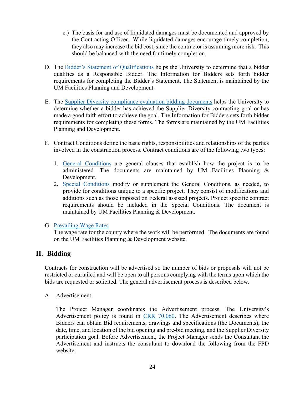- e.) The basis for and use of liquidated damages must be documented and approved by the Contracting Officer. While liquidated damages encourage timely completion, they also may increase the bid cost, since the contractor is assuming more risk. This should be balanced with the need for timely completion.
- D. The [Bidder's Statement of Qualifications](https://uminfopoint.umsystem.edu/media/fa/management/facilities/docs/Bidder%27s%20Statement%20of%20Qualifications.docx) helps the University to determine that a bidder qualifies as a Responsible Bidder. The Information for Bidders sets forth bidder requirements for completing the Bidder's Statement. The Statement is maintained by the UM Facilities Planning and Development.
- E. The [Supplier Diversity compliance evaluation bidding documents](https://uminfopoint.umsystem.edu/media/fa/management/facilities/docs/Supplier%20Diversity%20Evaluation%20Forms.docx) helps the University to determine whether a bidder has achieved the Supplier Diversity contracting goal or has made a good faith effort to achieve the goal. The Information for Bidders sets forth bidder requirements for completing these forms. The forms are maintained by the UM Facilities Planning and Development.
- F. Contract Conditions define the basic rights, responsibilities and relationships of the parties involved in the construction process. Contract conditions are of the following two types:
	- 1. [General Conditions](http://www.umsystem.edu/ums/fa/facilities/fpd_general_conditions) are general clauses that establish how the project is to be administered. The documents are maintained by UM Facilities Planning & Development.
	- 2. [Special Conditions](https://uminfopoint.umsystem.edu/media/fa/management/facilities/docs/Div%201%20Bidding%20Documents.docx) modify or supplement the General Conditions, as needed, to provide for conditions unique to a specific project. They consist of modifications and additions such as those imposed on Federal assisted projects. Project specific contract requirements should be included in the Special Conditions. The document is maintained by UM Facilities Planning & Development.

#### G. [Prevailing Wage Rates](https://www.umsystem.edu/ums/fa/facilities/wagerates)

The wage rate for the county where the work will be performed. The documents are found on the UM Facilities Planning & Development website.

### <span id="page-25-0"></span>**II. Bidding**

Contracts for construction will be advertised so the number of bids or proposals will not be restricted or curtailed and will be open to all persons complying with the terms upon which the bids are requested or solicited. The general advertisement process is described below.

A. Advertisement

The Project Manager coordinates the Advertisement process. The University's Advertisement policy is found in [CRR 70.060.](https://www.umsystem.edu/ums/rules/collected_rules/business/ch70/70.060_consulting_design_and_construction) The Advertisement describes where Bidders can obtain Bid requirements, drawings and specifications (the Documents), the date, time, and location of the bid opening and pre-bid meeting, and the Supplier Diversity participation goal. Before Advertisement, the Project Manager sends the Consultant the Advertisement and instructs the consultant to download the following from the FPD website: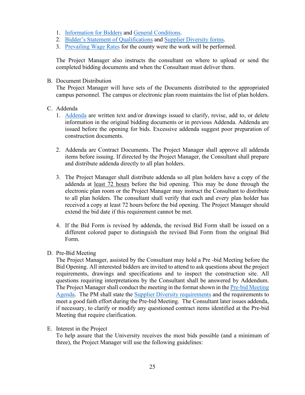- 1. [Information for Bidders](https://uminfopoint.umsystem.edu/media/fa/management/facilities/docs/Information%20for%20Bidders.docx) and [General Conditions.](http://www.umsystem.edu/ums/fa/facilities/fpd_general_conditions)
- 2. [Bidder's Statement of Qualifications](https://uminfopoint.umsystem.edu/media/fa/management/facilities/docs/Bidder%27s%20Statement%20of%20Qualifications.docx) and [Supplier Diversity forms.](https://uminfopoint.umsystem.edu/media/fa/management/facilities/docs/Supplier%20Diversity%20Evaluation%20Forms.docx)
- 3. [Prevailing Wage Rates](http://www.umsystem.edu/ums/fa/management/facilities/wagerates/) for the county were the work will be performed.

The Project Manager also instructs the consultant on where to upload or send the completed bidding documents and when the Consultant must deliver them.

B. Document Distribution

The Project Manager will have sets of the Documents distributed to the appropriated campus personnel. The campus or electronic plan room maintains the list of plan holders.

- C. Addenda
	- 1. [Addenda](https://uminfopoint.umsystem.edu/media/fa/management/facilities/docs/addendumformat.docx) are written text and/or drawings issued to clarify, revise, add to, or delete information in the original bidding documents or in previous Addenda. Addenda are issued before the opening for bids. Excessive addenda suggest poor preparation of construction documents.
	- 2. Addenda are Contract Documents. The Project Manager shall approve all addenda items before issuing. If directed by the Project Manager, the Consultant shall prepare and distribute addenda directly to all plan holders.
	- 3. The Project Manager shall distribute addenda so all plan holders have a copy of the addenda at least 72 hours before the bid opening. This may be done through the electronic plan room or the Project Manager may instruct the Consultant to distribute to all plan holders. The consultant shall verify that each and every plan holder has received a copy at least 72 hours before the bid opening. The Project Manager should extend the bid date if this requirement cannot be met.
	- 4. If the Bid Form is revised by addenda, the revised Bid Form shall be issued on a different colored paper to distinguish the revised Bid Form from the original Bid Form.
- D. Pre-Bid Meeting

The Project Manager, assisted by the Consultant may hold a Pre -bid Meeting before the Bid Opening. All interested bidders are invited to attend to ask questions about the project requirements, drawings and specifications and to inspect the construction site. All questions requiring interpretations by the Consultant shall be answered by Addendum. The Project Manager shall conduct the meeting in the format shown in the **Pre-bid Meeting** [Agenda.](file://col.missouri.edu/files/fpd/public/Current%20FPD%20Documents/Sept.%202016/prebid%20meeting%20agenda.doc) The PM shall state the [Supplier Diversity requirements](file://col.missouri.edu/files/fpd/public/Current%20FPD%20Documents/Sept.%202016/Supplier%20Diversity%20PreBid%20Meeting%20Agenda.doc) and the requirements to meet a good faith effort during the Pre-bid Meeting. The Consultant later issues addenda, if necessary, to clarify or modify any questioned contract items identified at the Pre-bid Meeting that require clarification.

E. Interest in the Project

To help assure that the University receives the most bids possible (and a minimum of three), the Project Manager will use the following guidelines: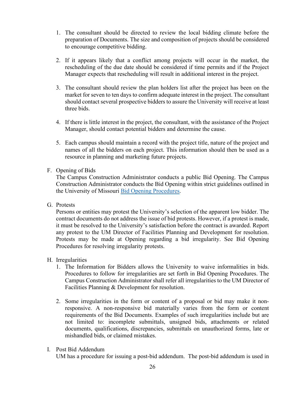- 1. The consultant should be directed to review the local bidding climate before the preparation of Documents. The size and composition of projects should be considered to encourage competitive bidding.
- 2. If it appears likely that a conflict among projects will occur in the market, the rescheduling of the due date should be considered if time permits and if the Project Manager expects that rescheduling will result in additional interest in the project.
- 3. The consultant should review the plan holders list after the project has been on the market for seven to ten days to confirm adequate interest in the project. The consultant should contact several prospective bidders to assure the University will receive at least three bids.
- 4. If there is little interest in the project, the consultant, with the assistance of the Project Manager, should contact potential bidders and determine the cause.
- 5. Each campus should maintain a record with the project title, nature of the project and names of all the bidders on each project. This information should then be used as a resource in planning and marketing future projects.

#### F. Opening of Bids

The Campus Construction Administrator conducts a public Bid Opening. The Campus Construction Administrator conducts the Bid Opening within strict guidelines outlined in the University of Missouri [Bid Opening Procedures.](file://col.missouri.edu/files/fpd/public/Current%20FPD%20Documents/Sept.%202016/Bid%20Opening%20.docx)

G. Protests

Persons or entities may protest the University's selection of the apparent low bidder. The contract documents do not address the issue of bid protests. However, if a protest is made, it must be resolved to the University's satisfaction before the contract is awarded. Report any protest to the UM Director of Facilities Planning and Development for resolution. Protests may be made at Opening regarding a bid irregularity. See Bid Opening Procedures for resolving irregularity protests.

#### H. Irregularities

- 1. The Information for Bidders allows the University to waive informalities in bids. Procedures to follow for irregularities are set forth in Bid Opening Procedures. The Campus Construction Administrator shall refer all irregularities to the UM Director of Facilities Planning & Development for resolution.
- 2. Some irregularities in the form or content of a proposal or bid may make it nonresponsive. A non-responsive bid materially varies from the form or content requirements of the Bid Documents. Examples of such irregularities include but are not limited to: incomplete submittals, unsigned bids, attachments or related documents, qualifications, discrepancies, submittals on unauthorized forms, late or mishandled bids, or claimed mistakes.
- I. Post Bid Addendum

UM has a procedure for issuing a post-bid addendum. The post-bid addendum is used in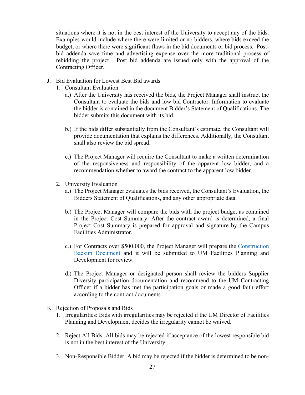situations where it is not in the best interest of the University to accept any of the bids. Examples would include where there were limited or no bidders, where bids exceed the budget, or where there were significant flaws in the bid documents or bid process. Postbid addenda save time and advertising expense over the more traditional process of rebidding the project. Post bid addenda are issued only with the approval of the Contracting Officer.

- J. Bid Evaluation for Lowest Best Bid awards
	- 1. Consultant Evaluation
		- a.) After the University has received the bids, the Project Manager shall instruct the Consultant to evaluate the bids and low bid Contractor. Information to evaluate the bidder is contained in the document Bidder's Statement of Qualifications. The bidder submits this document with its bid.
		- b.) If the bids differ substantially from the Consultant's estimate, the Consultant will provide documentation that explains the differences. Additionally, the Consultant shall also review the bid spread.
		- c.) The Project Manager will require the Consultant to make a written determination of the responsiveness and responsibility of the apparent low bidder, and a recommendation whether to award the contract to the apparent low bidder.
	- 2. University Evaluation
		- a.) The Project Manager evaluates the bids received, the Consultant's Evaluation, the Bidders Statement of Qualifications, and any other appropriate data.
		- b.) The Project Manager will compare the bids with the project budget as contained in the Project Cost Summary. After the contract award is determined, a final Project Cost Summary is prepared for approval and signature by the Campus Facilities Administrator.
		- c.) For Contracts over \$500,000, the Project Manager will prepare the [Construction](https://uminfopoint.umsystem.edu/media/fa/management/facilities/docs/Construction%20backup%20template-lowbid.docx)  [Backup Document](https://uminfopoint.umsystem.edu/media/fa/management/facilities/docs/Construction%20backup%20template-lowbid.docx) and it will be submitted to UM Facilities Planning and Development for review.
		- d.) The Project Manager or designated person shall review the bidders Supplier Diversity participation documentation and recommend to the UM Contracting Officer if a bidder has met the participation goals or made a good faith effort according to the contract documents.
- K. Rejection of Proposals and Bids
	- 1. Irregularities: Bids with irregularities may be rejected if the UM Director of Facilities Planning and Development decides the irregularity cannot be waived.
	- 2. Reject All Bids: All bids may be rejected if acceptance of the lowest responsible bid is not in the best interest of the University.
	- 3. Non-Responsible Bidder: A bid may be rejected if the bidder is determined to be non-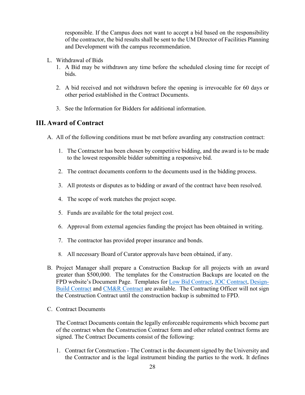responsible. If the Campus does not want to accept a bid based on the responsibility of the contractor, the bid results shall be sent to the UM Director of Facilities Planning and Development with the campus recommendation.

- L. Withdrawal of Bids
	- 1. A Bid may be withdrawn any time before the scheduled closing time for receipt of bids.
	- 2. A bid received and not withdrawn before the opening is irrevocable for 60 days or other period established in the Contract Documents.
	- 3. See the Information for Bidders for additional information.

#### <span id="page-29-0"></span>**III. Award of Contract**

- A. All of the following conditions must be met before awarding any construction contract:
	- 1. The Contractor has been chosen by competitive bidding, and the award is to be made to the lowest responsible bidder submitting a responsive bid.
	- 2. The contract documents conform to the documents used in the bidding process.
	- 3. All protests or disputes as to bidding or award of the contract have been resolved.
	- 4. The scope of work matches the project scope.
	- 5. Funds are available for the total project cost.
	- 6. Approval from external agencies funding the project has been obtained in writing.
	- 7. The contractor has provided proper insurance and bonds.
	- 8. All necessary Board of Curator approvals have been obtained, if any.
- B. Project Manager shall prepare a Construction Backup for all projects with an award greater than \$500,000. The templates for the Construction Backups are located on the FPD website's Document Page. Templates for [Low Bid Contract,](https://uminfopoint.umsystem.edu/media/fa/management/facilities/docs/Construction%20backup%20template-lowbid.docx) [JOC Contract,](https://uminfopoint.umsystem.edu/media/fa/management/facilities/docs/Construction%20backup%20template-JOC.docx) [Design-](https://uminfopoint.umsystem.edu/media/fa/management/facilities/docs/Construction%20backup%20template-Design-Build.docx)[Build Contract](https://uminfopoint.umsystem.edu/media/fa/management/facilities/docs/Construction%20backup%20template-Design-Build.docx) and [CM&R Contract](https://uminfopoint.umsystem.edu/media/fa/management/facilities/docs/Construction%20backup%20template-CMRisk.docx) are available. The Contracting Officer will not sign the Construction Contract until the construction backup is submitted to FPD.
- C. Contract Documents

The Contract Documents contain the legally enforceable requirements which become part of the contract when the Construction Contract form and other related contract forms are signed. The Contract Documents consist of the following:

1. Contract for Construction - The Contract is the document signed by the University and the Contractor and is the legal instrument binding the parties to the work. It defines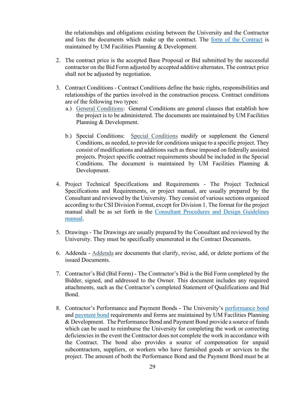the relationships and obligations existing between the University and the Contractor and lists the documents which make up the contract. The [form of the Contract](https://uminfopoint.umsystem.edu/media/fa/management/facilities/docs/Construction%20Contract.doc) is maintained by UM Facilities Planning & Development.

- 2. The contract price is the accepted Base Proposal or Bid submitted by the successful contractor on the Bid Form adjusted by accepted additive alternates. The contract price shall not be adjusted by negotiation.
- 3. Contract Conditions Contract Conditions define the basic rights, responsibilities and relationships of the parties involved in the construction process. Contract conditions are of the following two types:
	- a.) General [Conditions:](http://www.umsystem.edu/ums/fa/facilities/fpd_general_conditions) General Conditions are general clauses that establish how the project is to be administered. The documents are maintained by UM Facilities Planning & Development.
	- b.) Special Conditions: Special [Conditions](https://uminfopoint.umsystem.edu/media/fa/management/facilities/docs/Div%201%20Bidding%20Documents.docx) modify or supplement the General Conditions, as needed, to provide for conditions unique to a specific project. They consist of modifications and additions such as those imposed on federally assisted projects. Project specific contract requirements should be included in the Special Conditions. The document is maintained by UM Facilities Planning  $\&$ Development.
- 4. Project Technical Specifications and Requirements The Project Technical Specifications and Requirements, or project manual, are usually prepared by the Consultant and reviewed by the University. They consist of various sections organized according to the CSI Division Format, except for Division 1. The format for the project manual shall be as set forth in the [Consultant Procedures and Design Guidelines](https://www.umsystem.edu/ums/fa/facilities/guidelines/)  [manual.](https://www.umsystem.edu/ums/fa/facilities/guidelines/)
- 5. Drawings The Drawings are usually prepared by the Consultant and reviewed by the University. They must be specifically enumerated in the Contract Documents.
- 6. Addenda [Addenda](https://uminfopoint.umsystem.edu/media/fa/management/facilities/docs/addendumformat.docx) are documents that clarify, revise, add, or delete portions of the issued Documents.
- 7. Contractor's Bid (Bid Form) The Contractor's Bid is the Bid Form completed by the Bidder, signed, and addressed to the Owner. This document includes any required attachments, such as the Contractor's completed Statement of Qualifications and Bid Bond.
- 8. Contractor's Performance and Payment Bonds The University's [performance bond](https://uminfopoint.umsystem.edu/media/fa/management/facilities/docs/Performance%20Bond.doc) and [payment bond](https://uminfopoint.umsystem.edu/media/fa/management/facilities/docs/Payment%20Bond.doc) requirements and forms are maintained by UM Facilities Planning & Development. The Performance Bond and Payment Bond provide a source of funds which can be used to reimburse the University for completing the work or correcting deficiencies in the event the Contractor does not complete the work in accordance with the Contract. The bond also provides a source of compensation for unpaid subcontractors, suppliers, or workers who have furnished goods or services to the project. The amount of both the Performance Bond and the Payment Bond must be at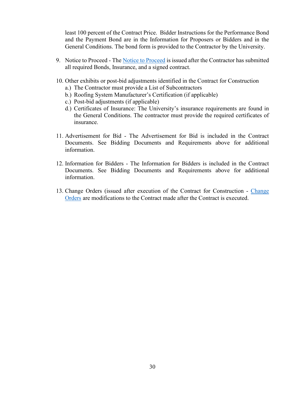least 100 percent of the Contract Price. Bidder Instructions for the Performance Bond and the Payment Bond are in the Information for Proposers or Bidders and in the General Conditions. The bond form is provided to the Contractor by the University.

- 9. [Notice to Proceed](https://uminfopoint.umsystem.edu/media/_layouts/WordViewer.aspx?id=/media/fa/management/facilities/docs/Notice%20to%20Proceed.doc&Source=https%3A%2F%2Fuminfopoint%2Eumsystem%2Eedu%2Fmedia%2Ffa%2FForms%2FAllItems%2Easpx%3FRootFolder%3D%252Fmedia%252Ffa%252Fmanagement%252Ffacilities%252Fdocs%26FolderCTID%3D0x01200002F5CFB8FEDFCA4294F952E1B7C0A0DB%26View%3D%7B63171E52%2D62D7%2D4DBC%2D8829%2DE9803060A17F%7D%26InitialTabId%3DRibbon%252EDocument%26VisibilityContext%3DWSSTabPersistence&DefaultItemOpen=1) The Notice to Proceed is issued after the Contractor has submitted all required Bonds, Insurance, and a signed contract.
- 10. Other exhibits or post-bid adjustments identified in the Contract for Construction
	- a.) The Contractor must provide a List of Subcontractors
	- b.) Roofing System Manufacturer's Certification (if applicable)
	- c.) Post-bid adjustments (if applicable)
	- d.) Certificates of Insurance: The University's insurance requirements are found in the General Conditions. The contractor must provide the required certificates of insurance.
- 11. Advertisement for Bid The Advertisement for Bid is included in the Contract Documents. See Bidding Documents and Requirements above for additional information.
- 12. Information for Bidders The Information for Bidders is included in the Contract Documents. See Bidding Documents and Requirements above for additional information.
- 13. Change Orders (issued after execution of the Contract for Construction [Change](https://uminfopoint.umsystem.edu/media/_layouts/WordViewer.aspx?id=/media/fa/management/facilities/docs/Change%20order%20form.doc&Source=https%3A%2F%2Fuminfopoint%2Eumsystem%2Eedu%2Fmedia%2Ffa%2FForms%2FAllItems%2Easpx%3FRootFolder%3D%252Fmedia%252Ffa%252Fmanagement%252Ffacilities%252Fdocs%26FolderCTID%3D0x01200002F5CFB8FEDFCA4294F952E1B7C0A0DB%26View%3D%7B63171E52%2D62D7%2D4DBC%2D8829%2DE9803060A17F%7D%26InitialTabId%3DRibbon%252EDocument%26VisibilityContext%3DWSSTabPersistence&DefaultItemOpen=1)  [Orders](https://uminfopoint.umsystem.edu/media/_layouts/WordViewer.aspx?id=/media/fa/management/facilities/docs/Change%20order%20form.doc&Source=https%3A%2F%2Fuminfopoint%2Eumsystem%2Eedu%2Fmedia%2Ffa%2FForms%2FAllItems%2Easpx%3FRootFolder%3D%252Fmedia%252Ffa%252Fmanagement%252Ffacilities%252Fdocs%26FolderCTID%3D0x01200002F5CFB8FEDFCA4294F952E1B7C0A0DB%26View%3D%7B63171E52%2D62D7%2D4DBC%2D8829%2DE9803060A17F%7D%26InitialTabId%3DRibbon%252EDocument%26VisibilityContext%3DWSSTabPersistence&DefaultItemOpen=1) are modifications to the Contract made after the Contract is executed.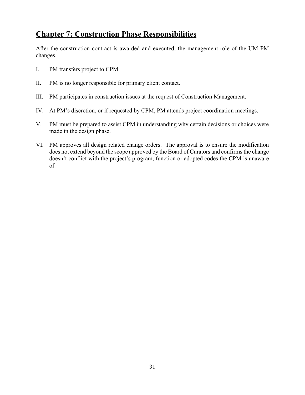## <span id="page-32-0"></span>**Chapter 7: Construction Phase Responsibilities**

After the construction contract is awarded and executed, the management role of the UM PM changes.

- I. PM transfers project to CPM.
- II. PM is no longer responsible for primary client contact.
- III. PM participates in construction issues at the request of Construction Management.
- IV. At PM's discretion, or if requested by CPM, PM attends project coordination meetings.
- V. PM must be prepared to assist CPM in understanding why certain decisions or choices were made in the design phase.
- VI. PM approves all design related change orders. The approval is to ensure the modification does not extend beyond the scope approved by the Board of Curators and confirms the change doesn't conflict with the project's program, function or adopted codes the CPM is unaware of.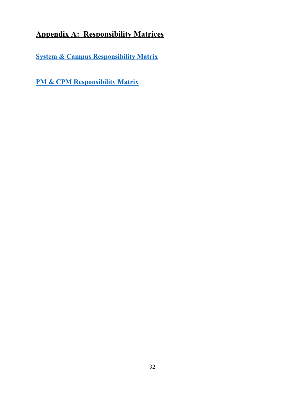## <span id="page-33-0"></span>**Appendix A: Responsibility Matrices**

**[System & Campus Responsibility Matrix](https://uminfopoint.umsystem.edu/media/fa/management/facilities/docs/Responsibility%20Matrix%20System%20vs%20Campus.pdf)**

**[PM & CPM Responsibility Matrix](https://collaborate.umsystem.edu/sites/fpd/public/docs/Responsibility%20Matrix%20PM%20vs%20CPM.pdf)**